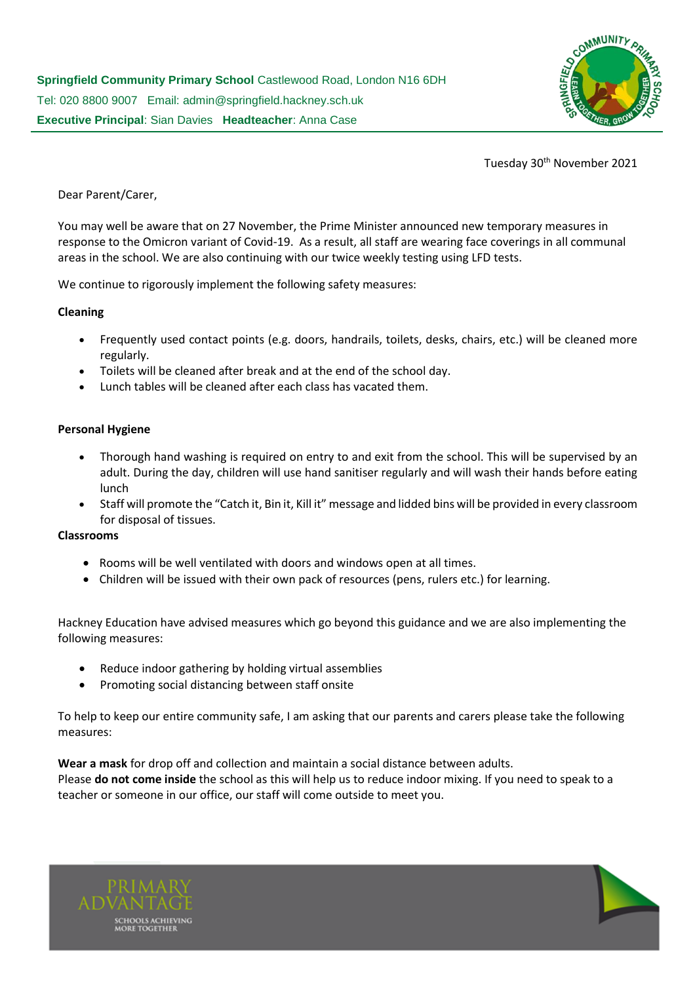

Tuesday 30<sup>th</sup> November 2021

Dear Parent/Carer,

You may well be aware that on 27 November, the Prime Minister announced new temporary measures in response to the Omicron variant of Covid-19. As a result, all staff are wearing face coverings in all communal areas in the school. We are also continuing with our twice weekly testing using LFD tests.

We continue to rigorously implement the following safety measures:

## **Cleaning**

- Frequently used contact points (e.g. doors, handrails, toilets, desks, chairs, etc.) will be cleaned more regularly.
- Toilets will be cleaned after break and at the end of the school day.
- Lunch tables will be cleaned after each class has vacated them.

## **Personal Hygiene**

- Thorough hand washing is required on entry to and exit from the school. This will be supervised by an adult. During the day, children will use hand sanitiser regularly and will wash their hands before eating lunch
- Staff will promote the "Catch it, Bin it, Kill it" message and lidded bins will be provided in every classroom for disposal of tissues.

## **Classrooms**

- Rooms will be well ventilated with doors and windows open at all times.
- Children will be issued with their own pack of resources (pens, rulers etc.) for learning.

Hackney Education have advised measures which go beyond this guidance and we are also implementing the following measures:

- Reduce indoor gathering by holding virtual assemblies
- Promoting social distancing between staff onsite

To help to keep our entire community safe, I am asking that our parents and carers please take the following measures:

**Wear a mask** for drop off and collection and maintain a social distance between adults.

Please **do not come inside** the school as this will help us to reduce indoor mixing. If you need to speak to a teacher or someone in our office, our staff will come outside to meet you.